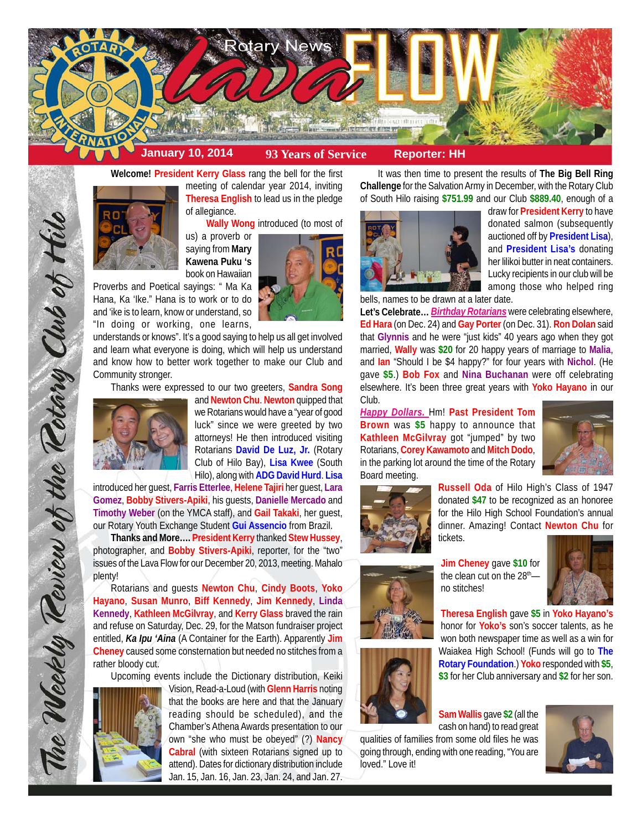

**Welcome! President Kerry Glass** rang the bell for the first

meeting of calendar year 2014, inviting **Theresa English** to lead us in the pledge of allegiance.

**Wally Wong** introduced (to most of

us) a proverb or saying from **Mary Kawena Puku 's** book on Hawaiian



understands or knows". It's a good saying to help us all get involved and learn what everyone is doing, which will help us understand and know how to better work together to make our Club and Community stronger.

Thanks were expressed to our two greeters, **Sandra Song**



The Weekly Review of the Rotary Club of Hilo

and **Newton Chu**. **Newton** quipped that we Rotarians would have a "year of good luck" since we were greeted by two attorneys! He then introduced visiting Rotarians **David De Luz, Jr.** (Rotary Club of Hilo Bay), **Lisa Kwee** (South Hilo), along with **ADG David Hurd**. **Lisa**

introduced her guest, **Farris Etterlee**, **Helene Tajiri** her guest, **Lara Gomez**, **Bobby Stivers-Apiki**, his guests, **Danielle Mercado** and **Timothy Weber** (on the YMCA staff), and **Gail Takaki**, her guest, our Rotary Youth Exchange Student **Gui Assencio** from Brazil.

**Thanks and More…. President Kerry** thanked **Stew Hussey**, photographer, and **Bobby Stivers-Apiki**, reporter, for the "two" issues of the Lava Flow for our December 20, 2013, meeting. Mahalo plenty!

Rotarians and guests **Newton Chu**, **Cindy Boots**, **Yoko Hayano**, **Susan Munro**, **Biff Kennedy**, **Jim Kennedy**, **Linda Kennedy**, **Kathleen McGilvray**, and **Kerry Glass** braved the rain and refuse on Saturday, Dec. 29, for the Matson fundraiser project entitled, *Ka Ipu 'Aina* (A Container for the Earth). Apparently **Jim Cheney** caused some consternation but needed no stitches from a rather bloody cut.

Upcoming events include the Dictionary distribution, Keiki



Vision, Read-a-Loud (with **Glenn Harris** noting that the books are here and that the January reading should be scheduled), and the Chamber's Athena Awards presentation to our own "she who must be obeyed" (?) **Nancy Cabral** (with sixteen Rotarians signed up to attend). Dates for dictionary distribution include Jan. 15, Jan. 16, Jan. 23, Jan. 24, and Jan. 27.

It was then time to present the results of **The Big Bell Ring Challenge** for the Salvation Army in December, with the Rotary Club of South Hilo raising **\$751.99** and our Club **\$889.40**, enough of a



draw for **President Kerry** to have donated salmon (subsequently auctioned off by **President Lisa**), and **President Lisa's** donating her lilikoi butter in neat containers. Lucky recipients in our club will be among those who helped ring

bells, names to be drawn at a later date.

**Let's Celebrate…** *Birthday Rotarians* were celebrating elsewhere, **Ed Hara** (on Dec. 24) and **Gay Porter** (on Dec. 31). **Ron Dolan** said that **Glynnis** and he were "just kids" 40 years ago when they got married, **Wally** was **\$20** for 20 happy years of marriage to **Malia**, and **Ian** "Should I be \$4 happy?" for four years with **Nichol**. (He gave **\$5**.) **Bob Fox** and **Nina Buchanan** were off celebrating elsewhere. It's been three great years with **Yoko Hayano** in our Club.

*Happy Dollars.* Hm! **Past President Tom Brown** was **\$5** happy to announce that **Kathleen McGilvray** got "jumped" by two Rotarians, **Corey Kawamoto** and **Mitch Dodo**, in the parking lot around the time of the Rotary Board meeting.





**Russell Oda** of Hilo High's Class of 1947 donated **\$47** to be recognized as an honoree for the Hilo High School Foundation's annual dinner. Amazing! Contact **Newton Chu** for tickets.

**Jim Cheney** gave **\$10** for the clean cut on the 28<sup>th</sup>no stitches!



**Theresa English** gave **\$5** in **Yoko Hayano's** honor for **Yoko's** son's soccer talents, as he won both newspaper time as well as a win for Waiakea High School! (Funds will go to **The Rotary Foundation**.) **Yoko** responded with **\$5**, **\$3** for her Club anniversary and **\$2** for her son.

**Sam Wallis** gave **\$2** (all the cash on hand) to read great qualities of families from some old files he was going through, ending with one reading, "You are loved." Love it!